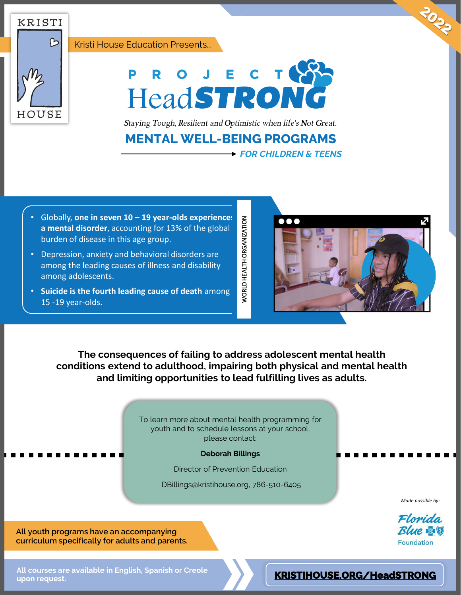Kristi House Education Presents…





Staying Tough, Resilient and Optimistic when life's Not Great.

## **MENTAL WELL-BEING PROGRAMS**

*FOR CHILDREN & TEENS*

- Globally, **one in seven 10 – 19 year-olds experiences a mental disorder**, accounting for 13% of the global burden of disease in this age group.
- Depression, anxiety and behavioral disorders are among the leading causes of illness and disability among adolescents.
- **Suicide is the fourth leading cause of death** among 15 -19 year-olds.



**The consequences of failing to address adolescent mental health conditions extend to adulthood, impairing both physical and mental health and limiting opportunities to lead fulfilling lives as adults.**

*NORLD HEALTH ORGANIZATION* 

To learn more about mental health programming for youth and to schedule lessons at your school, please contact:

**Deborah Billings**

Director of Prevention Education

DBillings@kristihouse.org, 786-510-6405

*Made possible by:*



**All youth programs have an accompanying curriculum specifically for adults and parents.**

**All courses are available in English, Spanish or Creole upon request.**

## **[KRISTIHOUSE.ORG/HeadSTRONG](https://kristihouse.org/education/)**